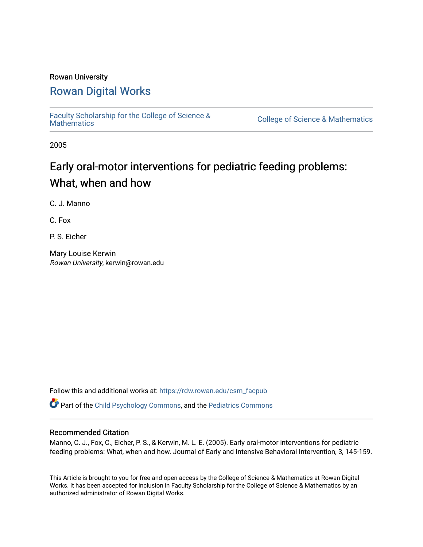# Rowan University

# [Rowan Digital Works](https://rdw.rowan.edu/)

[Faculty Scholarship for the College of Science &](https://rdw.rowan.edu/csm_facpub) 

College of Science & [Mathematics](https://rdw.rowan.edu/csm_facpub)

2005

# Early oral-motor interventions for pediatric feeding problems: What, when and how

C. J. Manno

C. Fox

P. S. Eicher

Mary Louise Kerwin Rowan University, kerwin@rowan.edu

Follow this and additional works at: [https://rdw.rowan.edu/csm\\_facpub](https://rdw.rowan.edu/csm_facpub?utm_source=rdw.rowan.edu%2Fcsm_facpub%2F93&utm_medium=PDF&utm_campaign=PDFCoverPages) 

Part of the [Child Psychology Commons,](http://network.bepress.com/hgg/discipline/1023?utm_source=rdw.rowan.edu%2Fcsm_facpub%2F93&utm_medium=PDF&utm_campaign=PDFCoverPages) and the [Pediatrics Commons](http://network.bepress.com/hgg/discipline/700?utm_source=rdw.rowan.edu%2Fcsm_facpub%2F93&utm_medium=PDF&utm_campaign=PDFCoverPages) 

# Recommended Citation

Manno, C. J., Fox, C., Eicher, P. S., & Kerwin, M. L. E. (2005). Early oral-motor interventions for pediatric feeding problems: What, when and how. Journal of Early and Intensive Behavioral Intervention, 3, 145-159.

This Article is brought to you for free and open access by the College of Science & Mathematics at Rowan Digital Works. It has been accepted for inclusion in Faculty Scholarship for the College of Science & Mathematics by an authorized administrator of Rowan Digital Works.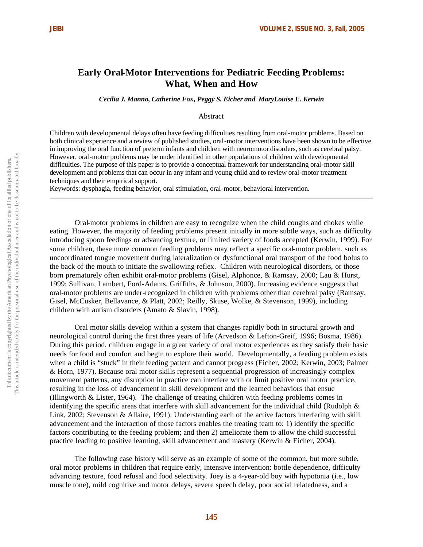# **Early Oral-Motor Interventions for Pediatric Feeding Problems: What, When and How**

*Cecilia J. Manno, Catherine Fox, Peggy S. Eicher and MaryLouise E. Kerwin*

Abstract

Children with developmental delays often have feeding difficulties resulting from oral-motor problems. Based on both clinical experience and a review of published studies, oral-motor interventions have been shown to be effective in improving the oral function of preterm infants and children with neuromotor disorders, such as cerebral palsy. However, oral-motor problems may be under identified in other populations of children with developmental difficulties. The purpose of this paper is to provide a conceptual framework for understanding oral-motor skill development and problems that can occur in any infant and young child and to review oral-motor treatment techniques and their empirical support.

Keywords: dysphagia, feeding behavior, oral stimulation, oral-motor, behavioral intervention.

Oral-motor problems in children are easy to recognize when the child coughs and chokes while eating. However, the majority of feeding problems present initially in more subtle ways, such as difficulty introducing spoon feedings or advancing texture, or limited variety of foods accepted (Kerwin, 1999). For some children, these more common feeding problems may reflect a specific oral-motor problem, such as uncoordinated tongue movement during lateralization or dysfunctional oral transport of the food bolus to the back of the mouth to initiate the swallowing reflex. Children with neurological disorders, or those born prematurely often exhibit oral-motor problems (Gisel, Alphonce, & Ramsay, 2000; Lau & Hurst, 1999; Sullivan, Lambert, Ford-Adams, Griffiths, & Johnson, 2000). Increasing evidence suggests that oral-motor problems are under-recognized in children with problems other than cerebral palsy (Ramsay, Gisel, McCusker, Bellavance, & Platt, 2002; Reilly, Skuse, Wolke, & Stevenson, 1999), including children with autism disorders (Amato & Slavin, 1998).

Oral motor skills develop within a system that changes rapidly both in structural growth and neurological control during the first three years of life (Arvedson & Lefton-Greif, 1996; Bosma, 1986). During this period, children engage in a great variety of oral motor experiences as they satisfy their basic needs for food and comfort and begin to explore their world. Developmentally, a feeding problem exists when a child is "stuck" in their feeding pattern and cannot progress (Eicher, 2002; Kerwin, 2003; Palmer & Horn, 1977). Because oral motor skills represent a sequential progression of increasingly complex movement patterns, any disruption in practice can interfere with or limit positive oral motor practice, resulting in the loss of advancement in skill development and the learned behaviors that ensue (Illingworth & Lister, 1964). The challenge of treating children with feeding problems comes in identifying the specific areas that interfere with skill advancement for the individual child (Rudolph & Link, 2002; Stevenson & Allaire, 1991). Understanding each of the active factors interfering with skill advancement and the interaction of those factors enables the treating team to: 1) identify the specific factors contributing to the feeding problem; and then 2) ameliorate them to allow the child successful practice leading to positive learning, skill advancement and mastery (Kerwin & Eicher, 2004).

The following case history will serve as an example of some of the common, but more subtle, oral motor problems in children that require early, intensive intervention: bottle dependence, difficulty advancing texture, food refusal and food selectivity. Joey is a 4-year-old boy with hypotonia (i.e., low muscle tone), mild cognitive and motor delays, severe speech delay, poor social relatedness, and a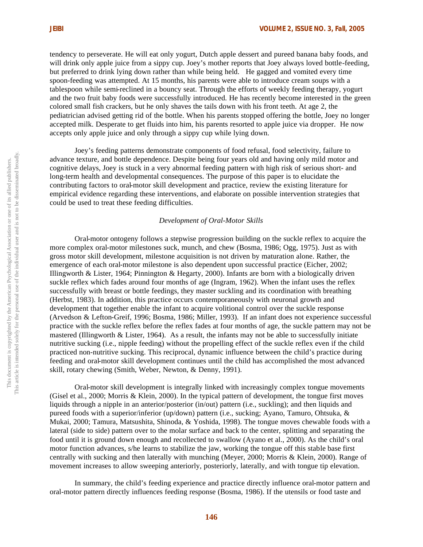tendency to perseverate. He will eat only yogurt, Dutch apple dessert and pureed banana baby foods, and will drink only apple juice from a sippy cup. Joey's mother reports that Joey always loved bottle-feeding, but preferred to drink lying down rather than while being held. He gagged and vomited every time spoon-feeding was attempted. At 15 months, his parents were able to introduce cream soups with a tablespoon while semi-reclined in a bouncy seat. Through the efforts of weekly feeding therapy, yogurt and the two fruit baby foods were successfully introduced. He has recently become interested in the green colored small fish crackers, but he only shaves the tails down with his front teeth. At age 2, the pediatrician advised getting rid of the bottle. When his parents stopped offering the bottle, Joey no longer accepted milk. Desperate to get fluids into him, his parents resorted to apple juice via dropper. He now accepts only apple juice and only through a sippy cup while lying down.

Joey's feeding patterns demonstrate components of food refusal, food selectivity, failure to advance texture, and bottle dependence. Despite being four years old and having only mild motor and cognitive delays, Joey is stuck in a very abnormal feeding pattern with high risk of serious short- and long-term health and developmental consequences. The purpose of this paper is to elucidate the contributing factors to oral-motor skill development and practice, review the existing literature for empirical evidence regarding these interventions, and elaborate on possible intervention strategies that could be used to treat these feeding difficulties.

# *Development of Oral-Motor Skills*

Oral-motor ontogeny follows a stepwise progression building on the suckle reflex to acquire the more complex oral-motor milestones suck, munch, and chew (Bosma, 1986; Ogg, 1975). Just as with gross motor skill development, milestone acquisition is not driven by maturation alone. Rather, the emergence of each oral-motor milestone is also dependent upon successful practice (Eicher, 2002; Illingworth & Lister, 1964; Pinnington & Hegarty, 2000). Infants are born with a biologically driven suckle reflex which fades around four months of age (Ingram, 1962). When the infant uses the reflex successfully with breast or bottle feedings, they master suckling and its coordination with breathing (Herbst, 1983). In addition, this practice occurs contemporaneously with neuronal growth and development that together enable the infant to acquire volitional control over the suckle response (Arvedson & Lefton-Greif, 1996; Bosma, 1986; Miller, 1993). If an infant does not experience successful practice with the suckle reflex before the reflex fades at four months of age, the suckle pattern may not be mastered (Illingworth  $\&$  Lister, 1964). As a result, the infants may not be able to successfully initiate nutritive sucking (i.e., nipple feeding) without the propelling effect of the suckle reflex even if the child practiced non-nutritive sucking. This reciprocal, dynamic influence between the child's practice during feeding and oral-motor skill development continues until the child has accomplished the most advanced skill, rotary chewing (Smith, Weber, Newton, & Denny, 1991).

Oral-motor skill development is integrally linked with increasingly complex tongue movements (Gisel et al., 2000; Morris & Klein, 2000). In the typical pattern of development, the tongue first moves liquids through a nipple in an anterior/posterior (in/out) pattern (i.e., suckling); and then liquids and pureed foods with a superior/inferior (up/down) pattern (i.e., sucking; Ayano, Tamuro, Ohtsuka, & Mukai, 2000; Tamura, Matsushita, Shinoda, & Yoshida, 1998). The tongue moves chewable foods with a lateral (side to side) pattern over to the molar surface and back to the center, splitting and separating the food until it is ground down enough and recollected to swallow (Ayano et al., 2000). As the child's oral motor function advances, s/he learns to stabilize the jaw, working the tongue off this stable base first centrally with sucking and then laterally with munching (Meyer, 2000; Morris & Klein, 2000). Range of movement increases to allow sweeping anteriorly, posteriorly, laterally, and with tongue tip elevation.

In summary, the child's feeding experience and practice directly influence oral-motor pattern and oral-motor pattern directly influences feeding response (Bosma, 1986). If the utensils or food taste and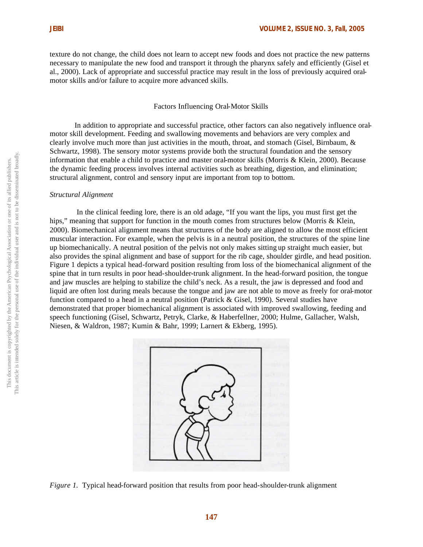texture do not change, the child does not learn to accept new foods and does not practice the new patterns necessary to manipulate the new food and transport it through the pharynx safely and efficiently (Gisel et al., 2000). Lack of appropriate and successful practice may result in the loss of previously acquired oralmotor skills and/or failure to acquire more advanced skills.

#### Factors Influencing Oral-Motor Skills

In addition to appropriate and successful practice, other factors can also negatively influence oralmotor skill development. Feeding and swallowing movements and behaviors are very complex and clearly involve much more than just activities in the mouth, throat, and stomach (Gisel, Birnbaum, & Schwartz, 1998). The sensory motor systems provide both the structural foundation and the sensory information that enable a child to practice and master oral-motor skills (Morris & Klein, 2000). Because the dynamic feeding process involves internal activities such as breathing, digestion, and elimination; structural alignment, control and sensory input are important from top to bottom.

#### *Structural Alignment*

 In the clinical feeding lore, there is an old adage, "If you want the lips, you must first get the hips," meaning that support for function in the mouth comes from structures below (Morris & Klein, 2000). Biomechanical alignment means that structures of the body are aligned to allow the most efficient muscular interaction. For example, when the pelvis is in a neutral position, the structures of the spine line up biomechanically. A neutral position of the pelvis not only makes sitting up straight much easier, but also provides the spinal alignment and base of support for the rib cage, shoulder girdle, and head position. Figure 1 depicts a typical head-forward position resulting from loss of the biomechanical alignment of the spine that in turn results in poor head-shoulder-trunk alignment. In the head-forward position, the tongue and jaw muscles are helping to stabilize the child's neck. As a result, the jaw is depressed and food and liquid are often lost during meals because the tongue and jaw are not able to move as freely for oral-motor function compared to a head in a neutral position (Patrick & Gisel, 1990). Several studies have demonstrated that proper biomechanical alignment is associated with improved swallowing, feeding and speech functioning (Gisel, Schwartz, Petryk, Clarke, & Haberfellner, 2000; Hulme, Gallacher, Walsh, Niesen, & Waldron, 1987; Kumin & Bahr, 1999; Larnert & Ekberg, 1995).



*Figure 1.* Typical head-forward position that results from poor head-shoulder-trunk alignment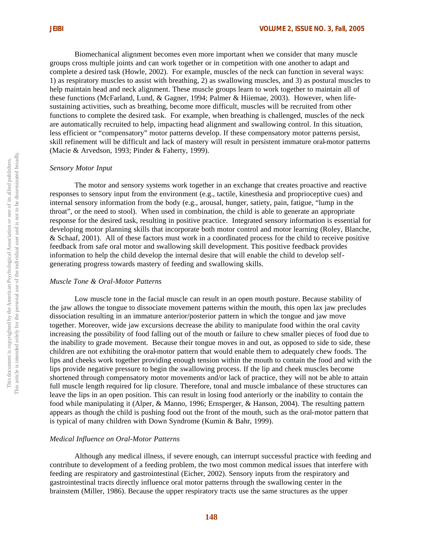Biomechanical alignment becomes even more important when we consider that many muscle groups cross multiple joints and can work together or in competition with one another to adapt and complete a desired task (Howle, 2002). For example, muscles of the neck can function in several ways: 1) as respiratory muscles to assist with breathing, 2) as swallowing muscles, and 3) as postural muscles to help maintain head and neck alignment. These muscle groups learn to work together to maintain all of these functions (McFarland, Lund, & Gagner, 1994; Palmer & Hiiemae, 2003). However, when lifesustaining activities, such as breathing, become more difficult, muscles will be recruited from other functions to complete the desired task. For example, when breathing is challenged, muscles of the neck are automatically recruited to help, impacting head alignment and swallowing control. In this situation, less efficient or "compensatory" motor patterns develop. If these compensatory motor patterns persist, skill refinement will be difficult and lack of mastery will result in persistent immature oral-motor patterns (Macie & Arvedson, 1993; Pinder & Faherty, 1999).

#### *Sensory Motor Input*

The motor and sensory systems work together in an exchange that creates proactive and reactive responses to sensory input from the environment (e.g., tactile, kinesthesia and proprioceptive cues) and internal sensory information from the body (e.g., arousal, hunger, satiety, pain, fatigue, "lump in the throat", or the need to stool). When used in combination, the child is able to generate an appropriate response for the desired task, resulting in positive practice. Integrated sensory information is essential for developing motor planning skills that incorporate both motor control and motor learning (Roley, Blanche, & Schaaf, 2001). All of these factors must work in a coordinated process for the child to receive positive feedback from safe oral motor and swallowing skill development. This positive feedback provides information to help the child develop the internal desire that will enable the child to develop selfgenerating progress towards mastery of feeding and swallowing skills.

# *Muscle Tone & Oral-Motor Patterns*

Low muscle tone in the facial muscle can result in an open mouth posture. Because stability of the jaw allows the tongue to dissociate movement patterns within the mouth, this open lax jaw precludes dissociation resulting in an immature anterior/posterior pattern in which the tongue and jaw move together. Moreover, wide jaw excursions decrease the ability to manipulate food within the oral cavity increasing the possibility of food falling out of the mouth or failure to chew smaller pieces of food due to the inability to grade movement. Because their tongue moves in and out, as opposed to side to side, these children are not exhibiting the oral-motor pattern that would enable them to adequately chew foods. The lips and cheeks work together providing enough tension within the mouth to contain the food and with the lips provide negative pressure to begin the swallowing process. If the lip and cheek muscles become shortened through compensatory motor movements and/or lack of practice, they will not be able to attain full muscle length required for lip closure. Therefore, tonal and muscle imbalance of these structures can leave the lips in an open position. This can result in losing food anteriorly or the inability to contain the food while manipulating it (Alper, & Manno, 1996; Ernsperger, & Hanson, 2004). The resulting pattern appears as though the child is pushing food out the front of the mouth, such as the oral-motor pattern that is typical of many children with Down Syndrome (Kumin & Bahr, 1999).

#### *Medical Influence on Oral-Motor Patterns*

Although any medical illness, if severe enough, can interrupt successful practice with feeding and contribute to development of a feeding problem, the two most common medical issues that interfere with feeding are respiratory and gastrointestinal (Eicher, 2002). Sensory inputs from the respiratory and gastrointestinal tracts directly influence oral motor patterns through the swallowing center in the brainstem (Miller, 1986). Because the upper respiratory tracts use the same structures as the upper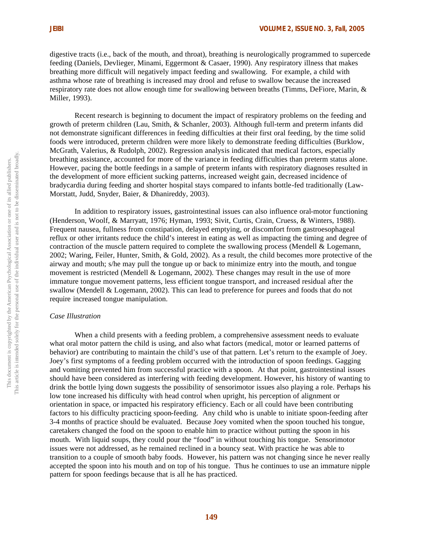digestive tracts (i.e., back of the mouth, and throat), breathing is neurologically programmed to supercede feeding (Daniels, Devlieger, Minami, Eggermont & Casaer, 1990). Any respiratory illness that makes breathing more difficult will negatively impact feeding and swallowing. For example, a child with asthma whose rate of breathing is increased may drool and refuse to swallow because the increased respiratory rate does not allow enough time for swallowing between breaths (Timms, DeFiore, Marin, & Miller, 1993).

Recent research is beginning to document the impact of respiratory problems on the feeding and growth of preterm children (Lau, Smith, & Schanler, 2003). Although full-term and preterm infants did not demonstrate significant differences in feeding difficulties at their first oral feeding, by the time solid foods were introduced, preterm children were more likely to demonstrate feeding difficulties (Burklow, McGrath, Valerius, & Rudolph, 2002). Regression analysis indicated that medical factors, especially breathing assistance, accounted for more of the variance in feeding difficulties than preterm status alone. However, pacing the bottle feedings in a sample of preterm infants with respiratory diagnoses resulted in the development of more efficient sucking patterns, increased weight gain, decreased incidence of bradycardia during feeding and shorter hospital stays compared to infants bottle-fed traditionally (Law-Morstatt, Judd, Snyder, Baier, & Dhanireddy, 2003).

In addition to respiratory issues, gastrointestinal issues can also influence oral-motor functioning (Henderson, Woolf, & Marryatt, 1976; Hyman, 1993; Sivit, Curtis, Crain, Cruess, & Winters, 1988). Frequent nausea, fullness from constipation, delayed emptying, or discomfort from gastroesophageal reflux or other irritants reduce the child's interest in eating as well as impacting the timing and degree of contraction of the muscle pattern required to complete the swallowing process (Mendell & Logemann, 2002; Waring, Feiler, Hunter, Smith, & Gold, 2002). As a result, the child becomes more protective of the airway and mouth; s/he may pull the tongue up or back to minimize entry into the mouth, and tongue movement is restricted (Mendell & Logemann, 2002). These changes may result in the use of more immature tongue movement patterns, less efficient tongue transport, and increased residual after the swallow (Mendell & Logemann, 2002). This can lead to preference for purees and foods that do not require increased tongue manipulation.

# *Case Illustration*

When a child presents with a feeding problem, a comprehensive assessment needs to evaluate what oral motor pattern the child is using, and also what factors (medical, motor or learned patterns of behavior) are contributing to maintain the child's use of that pattern. Let's return to the example of Joey. Joey's first symptoms of a feeding problem occurred with the introduction of spoon feedings. Gagging and vomiting prevented him from successful practice with a spoon. At that point, gastrointestinal issues should have been considered as interfering with feeding development. However, his history of wanting to drink the bottle lying down suggests the possibility of sensorimotor issues also playing a role. Perhaps his low tone increased his difficulty with head control when upright, his perception of alignment or orientation in space, or impacted his respiratory efficiency. Each or all could have been contributing factors to his difficulty practicing spoon-feeding. Any child who is unable to initiate spoon-feeding after 3-4 months of practice should be evaluated. Because Joey vomited when the spoon touched his tongue, caretakers changed the food on the spoon to enable him to practice without putting the spoon in his mouth. With liquid soups, they could pour the "food" in without touching his tongue. Sensorimotor issues were not addressed, as he remained reclined in a bouncy seat. With practice he was able to transition to a couple of smooth baby foods. However, his pattern was not changing since he never really accepted the spoon into his mouth and on top of his tongue. Thus he continues to use an immature nipple pattern for spoon feedings because that is all he has practiced.

**149**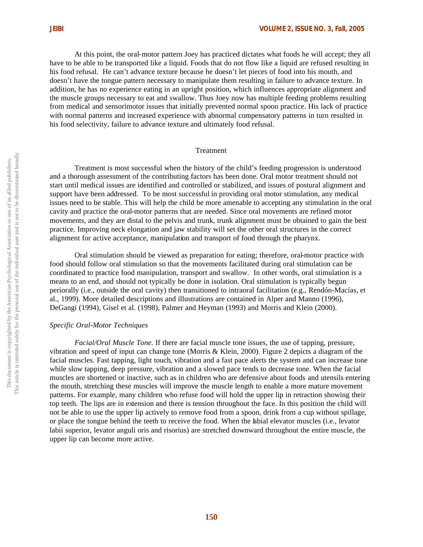At this point, the oral-motor pattern Joey has practiced dictates what foods he will accept; they all have to be able to be transported like a liquid. Foods that do not flow like a liquid are refused resulting in his food refusal. He can't advance texture because he doesn't let pieces of food into his mouth, and doesn't have the tongue pattern necessary to manipulate them resulting in failure to advance texture. In addition, he has no experience eating in an upright position, which influences appropriate alignment and the muscle groups necessary to eat and swallow. Thus Joey now has multiple feeding problems resulting from medical and sensorimotor issues that initially prevented normal spoon practice. His lack of practice with normal patterns and increased experience with abnormal compensatory patterns in turn resulted in his food selectivity, failure to advance texture and ultimately food refusal.

#### Treatment

Treatment is most successful when the history of the child's feeding progression is understood and a thorough assessment of the contributing factors has been done. Oral motor treatment should not start until medical issues are identified and controlled or stabilized, and issues of postural alignment and support have been addressed. To be most successful in providing oral motor stimulation, any medical issues need to be stable. This will help the child be more amenable to accepting any stimulation in the oral cavity and practice the oral-motor patterns that are needed. Since oral movements are refined motor movements, and they are distal to the pelvis and trunk, trunk alignment must be obtained to gain the best practice. Improving neck elongation and jaw stability will set the other oral structures in the correct alignment for active acceptance, manipulation and transport of food through the pharynx.

Oral stimulation should be viewed as preparation for eating; therefore, oral-motor practice with food should follow oral stimulation so that the movements facilitated during oral stimulation can be coordinated to practice food manipulation, transport and swallow. In other words, oral stimulation is a means to an end, and should not typically be done in isolation. Oral stimulation is typically begun periorally (i.e., outside the oral cavity) then transitioned to intraoral facilitation (e.g., Rendón-Macías, et al., 1999). More detailed descriptions and illustrations are contained in Alper and Manno (1996), DeGangi (1994), Gisel et al. (1998), Palmer and Heyman (1993) and Morris and Klein (2000).

#### *Specific Oral-Motor Techniques*

*Facial/Oral Muscle Tone.* If there are facial muscle tone issues, the use of tapping, pressure, vibration and speed of input can change tone (Morris & Klein, 2000). Figure 2 depicts a diagram of the facial muscles. Fast tapping, light touch, vibration and a fast pace alerts the system and can increase tone while slow tapping, deep pressure, vibration and a slowed pace tends to decrease tone. When the facial muscles are shortened or inactive, such as in children who are defensive about foods and utensils entering the mouth, stretching these muscles will improve the muscle length to enable a more mature movement patterns. For example, many children who refuse food will hold the upper lip in retraction showing their top teeth. The lips are in extension and there is tension throughout the face. In this position the child will not be able to use the upper lip actively to remove food from a spoon, drink from a cup without spillage, or place the tongue behind the teeth to receive the food. When the labial elevator muscles (i.e., levator labii superior, levator anguli oris and risorius) are stretched downward throughout the entire muscle, the upper lip can become more active.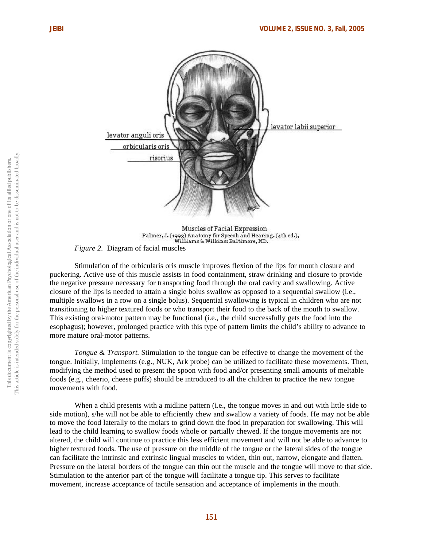

Muscles of Facial Expression Palmer, J. (1993) Anatomy for Speech and Hearing. (4th ed.), Williams & Wilkins: Baltimore, MD.

*Figure 2.* Diagram of facial muscles

Stimulation of the orbicularis oris muscle improves flexion of the lips for mouth closure and puckering. Active use of this muscle assists in food containment, straw drinking and closure to provide the negative pressure necessary for transporting food through the oral cavity and swallowing. Active closure of the lips is needed to attain a single bolus swallow as opposed to a sequential swallow (i.e., multiple swallows in a row on a single bolus). Sequential swallowing is typical in children who are not transitioning to higher textured foods or who transport their food to the back of the mouth to swallow. This existing oral-motor pattern may be functional (i.e., the child successfully gets the food into the esophagus); however, prolonged practice with this type of pattern limits the child's ability to advance to more mature oral-motor patterns.

*Tongue & Transport.* Stimulation to the tongue can be effective to change the movement of the tongue. Initially, implements (e.g., NUK, Ark probe) can be utilized to facilitate these movements. Then, modifying the method used to present the spoon with food and/or presenting small amounts of meltable foods (e.g., cheerio, cheese puffs) should be introduced to all the children to practice the new tongue movements with food.

When a child presents with a midline pattern (i.e., the tongue moves in and out with little side to side motion), s/he will not be able to efficiently chew and swallow a variety of foods. He may not be able to move the food laterally to the molars to grind down the food in preparation for swallowing. This will lead to the child learning to swallow foods whole or partially chewed. If the tongue movements are not altered, the child will continue to practice this less efficient movement and will not be able to advance to higher textured foods. The use of pressure on the middle of the tongue or the lateral sides of the tongue can facilitate the intrinsic and extrinsic lingual muscles to widen, thin out, narrow, elongate and flatten. Pressure on the lateral borders of the tongue can thin out the muscle and the tongue will move to that side. Stimulation to the anterior part of the tongue will facilitate a tongue tip. This serves to facilitate movement, increase acceptance of tactile sensation and acceptance of implements in the mouth.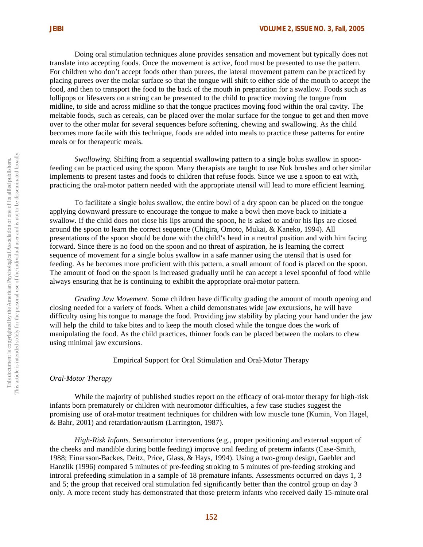Doing oral stimulation techniques alone provides sensation and movement but typically does not translate into accepting foods. Once the movement is active, food must be presented to use the pattern. For children who don't accept foods other than purees, the lateral movement pattern can be practiced by placing purees over the molar surface so that the tongue will shift to either side of the mouth to accept the food, and then to transport the food to the back of the mouth in preparation for a swallow. Foods such as lollipops or lifesavers on a string can be presented to the child to practice moving the tongue from midline, to side and across midline so that the tongue practices moving food within the oral cavity. The meltable foods, such as cereals, can be placed over the molar surface for the tongue to get and then move over to the other molar for several sequences before softening, chewing and swallowing. As the child becomes more facile with this technique, foods are added into meals to practice these patterns for entire meals or for therapeutic meals.

*Swallowing.* Shifting from a sequential swallowing pattern to a single bolus swallow in spoonfeeding can be practiced using the spoon. Many therapists are taught to use Nuk brushes and other similar implements to present tastes and foods to children that refuse foods. Since we use a spoon to eat with, practicing the oral-motor pattern needed with the appropriate utensil will lead to more efficient learning.

To facilitate a single bolus swallow, the entire bowl of a dry spoon can be placed on the tongue applying downward pressure to encourage the tongue to make a bowl then move back to initiate a swallow. If the child does not close his lips around the spoon, he is asked to and/or his lips are closed around the spoon to learn the correct sequence (Chigira, Omoto, Mukai, & Kaneko, 1994). All presentations of the spoon should be done with the child's head in a neutral position and with him facing forward. Since there is no food on the spoon and no threat of aspiration, he is learning the correct sequence of movement for a single bolus swallow in a safe manner using the utensil that is used for feeding. As he becomes more proficient with this pattern, a small amount of food is placed on the spoon. The amount of food on the spoon is increased gradually until he can accept a level spoonful of food while always ensuring that he is continuing to exhibit the appropriate oral-motor pattern.

*Grading Jaw Movement.* Some children have difficulty grading the amount of mouth opening and closing needed for a variety of foods. When a child demonstrates wide jaw excursions, he will have difficulty using his tongue to manage the food. Providing jaw stability by placing your hand under the jaw will help the child to take bites and to keep the mouth closed while the tongue does the work of manipulating the food. As the child practices, thinner foods can be placed between the molars to chew using minimal jaw excursions.

Empirical Support for Oral Stimulation and Oral-Motor Therapy

#### *Oral-Motor Therapy*

While the majority of published studies report on the efficacy of oral-motor therapy for high-risk infants born prematurely or children with neuromotor difficulties, a few case studies suggest the promising use of oral-motor treatment techniques for children with low muscle tone (Kumin, Von Hagel, & Bahr, 2001) and retardation/autism (Larrington, 1987).

*High-Risk Infants.* Sensorimotor interventions (e.g., proper positioning and external support of the cheeks and mandible during bottle feeding) improve oral feeding of preterm infants (Case-Smith, 1988; Einarsson-Backes, Deitz, Price, Glass, & Hays, 1994). Using a two-group design, Gaebler and Hanzlik (1996) compared 5 minutes of pre-feeding stroking to 5 minutes of pre-feeding stroking and introral prefeeding stimulation in a sample of 18 premature infants. Assessments occurred on days 1, 3 and 5; the group that received oral stimulation fed significantly better than the control group on day 3 only. A more recent study has demonstrated that those preterm infants who received daily 15-minute oral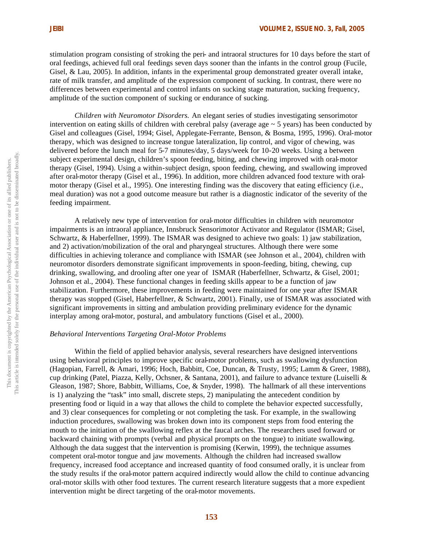stimulation program consisting of stroking the peri- and intraoral structures for 10 days before the start of oral feedings, achieved full oral feedings seven days sooner than the infants in the control group (Fucile, Gisel, & Lau, 2005). In addition, infants in the experimental group demonstrated greater overall intake, rate of milk transfer, and amplitude of the expression component of sucking. In contrast, there were no differences between experimental and control infants on sucking stage maturation, sucking frequency, amplitude of the suction component of sucking or endurance of sucking.

*Children with Neuromotor Disorders.* An elegant series of studies investigating sensorimotor intervention on eating skills of children with cerebral palsy (average age  $\sim$  5 years) has been conducted by Gisel and colleagues (Gisel, 1994; Gisel, Applegate-Ferrante, Benson, & Bosma, 1995, 1996). Oral-motor therapy, which was designed to increase tongue lateralization, lip control, and vigor of chewing, was delivered before the lunch meal for 5-7 minutes/day, 5 days/week for 10-20 weeks. Using a between subject experimental design, children's spoon feeding, biting, and chewing improved with oral-motor therapy (Gisel, 1994). Using a within-subject design, spoon feeding, chewing, and swallowing improved after oral-motor therapy (Gisel et al., 1996). In addition, more children advanced food texture with oralmotor therapy (Gisel et al., 1995). One interesting finding was the discovery that eating efficiency (i.e., meal duration) was not a good outcome measure but rather is a diagnostic indicator of the severity of the feeding impairment.

A relatively new type of intervention for oral-motor difficulties in children with neuromotor impairments is an intraoral appliance, Innsbruck Sensorimotor Activator and Regulator (ISMAR; Gisel, Schwartz, & Haberfellner, 1999). The ISMAR was designed to achieve two goals: 1) jaw stabilization, and 2) activation/mobilization of the oral and pharyngeal structures. Although there were some difficulties in achieving tolerance and compliance with ISMAR (see Johnson et al., 2004), children with neuromotor disorders demonstrate significant improvements in spoon-feeding, biting, chewing, cup drinking, swallowing, and drooling after one year of ISMAR (Haberfellner, Schwartz, & Gisel, 2001; Johnson et al., 2004). These functional changes in feeding skills appear to be a function of jaw stabilization. Furthermore, these improvements in feeding were maintained for one year after ISMAR therapy was stopped (Gisel, Haberfellner, & Schwartz, 2001). Finally, use of ISMAR was associated with significant improvements in sitting and ambulation providing preliminary evidence for the dynamic interplay among oral-motor, postural, and ambulatory functions (Gisel et al., 2000).

# *Behavioral Interventions Targeting Oral-Motor Problems*

Within the field of applied behavior analysis, several researchers have designed interventions using behavioral principles to improve specific oral-motor problems, such as swallowing dysfunction (Hagopian, Farrell, & Amari, 1996; Hoch, Babbitt, Coe, Duncan, & Trusty, 1995; Lamm & Greer, 1988), cup drinking (Patel, Piazza, Kelly, Ochsner, & Santana, 2001), and failure to advance texture (Luiselli & Gleason, 1987; Shore, Babbitt, Williams, Coe, & Snyder, 1998). The hallmark of all these interventions is 1) analyzing the "task" into small, discrete steps, 2) manipulating the antecedent condition by presenting food or liquid in a way that allows the child to complete the behavior expected successfully, and 3) clear consequences for completing or not completing the task. For example, in the swallowing induction procedures, swallowing was broken down into its component steps from food entering the mouth to the initiation of the swallowing reflex at the faucal arches. The researchers used forward or backward chaining with prompts (verbal and physical prompts on the tongue) to initiate swallowing. Although the data suggest that the intervention is promising (Kerwin, 1999), the technique assumes competent oral-motor tongue and jaw movements. Although the children had increased swallow frequency, increased food acceptance and increased quantity of food consumed orally, it is unclear from the study results if the oral-motor pattern acquired indirectly would allow the child to continue advancing oral-motor skills with other food textures. The current research literature suggests that a more expedient intervention might be direct targeting of the oral-motor movements.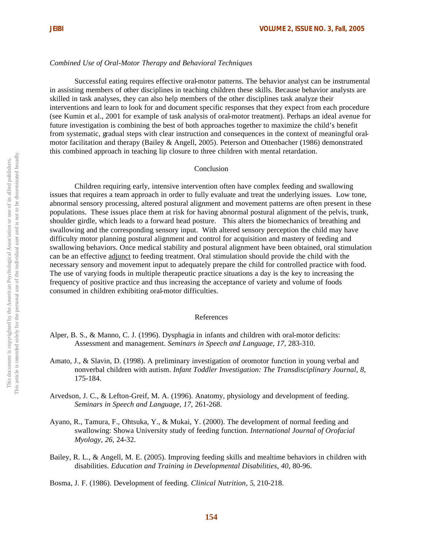## *Combined Use of Oral-Motor Therapy and Behavioral Techniques*

Successful eating requires effective oral-motor patterns. The behavior analyst can be instrumental in assisting members of other disciplines in teaching children these skills. Because behavior analysts are skilled in task analyses, they can also help members of the other disciplines task analyze their interventions and learn to look for and document specific responses that they expect from each procedure (see Kumin et al., 2001 for example of task analysis of oral-motor treatment). Perhaps an ideal avenue for future investigation is combining the best of both approaches together to maximize the child's benefit from systematic, gradual steps with clear instruction and consequences in the context of meaningful oralmotor facilitation and therapy (Bailey & Angell, 2005). Peterson and Ottenbacher (1986) demonstrated this combined approach in teaching lip closure to three children with mental retardation.

## Conclusion

Children requiring early, intensive intervention often have complex feeding and swallowing issues that requires a team approach in order to fully evaluate and treat the underlying issues. Low tone, abnormal sensory processing, altered postural alignment and movement patterns are often present in these populations. These issues place them at risk for having abnormal postural alignment of the pelvis, trunk, shoulder girdle, which leads to a forward head posture. This alters the biomechanics of breathing and swallowing and the corresponding sensory input. With altered sensory perception the child may have difficulty motor planning postural alignment and control for acquisition and mastery of feeding and swallowing behaviors. Once medical stability and postural alignment have been obtained, oral stimulation can be an effective adjunct to feeding treatment. Oral stimulation should provide the child with the necessary sensory and movement input to adequately prepare the child for controlled practice with food. The use of varying foods in multiple therapeutic practice situations a day is the key to increasing the frequency of positive practice and thus increasing the acceptance of variety and volume of foods consumed in children exhibiting oral-motor difficulties.

#### References

- Alper, B. S., & Manno, C. J. (1996). Dysphagia in infants and children with oral-motor deficits: Assessment and management. *Seminars in Speech and Language, 17*, 283-310.
- Amato, J., & Slavin, D. (1998). A preliminary investigation of oromotor function in young verbal and nonverbal children with autism. *Infant Toddler Investigation: The Transdisciplinary Journal, 8,* 175-184.
- Arvedson, J. C., & Lefton-Greif, M. A. (1996). Anatomy, physiology and development of feeding. *Seminars in Speech and Language, 17*, 261-268.
- Ayano, R., Tamura, F., Ohtsuka, Y., & Mukai, Y. (2000). The development of normal feeding and swallowing: Showa University study of feeding function. *International Journal of Orofacial Myology, 26,* 24-32.
- Bailey, R. L., & Angell, M. E. (2005). Improving feeding skills and mealtime behaviors in children with disabilities. *Education and Training in Developmental Disabilities, 40,* 80-96.

Bosma, J. F. (1986). Development of feeding. *Clinical Nutrition, 5*, 210-218.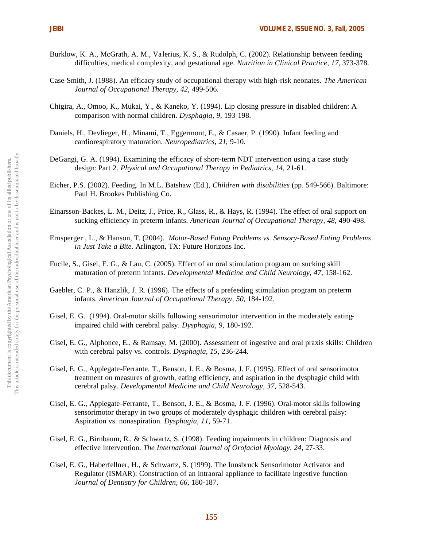- Burklow, K. A., McGrath, A. M., Va lerius, K. S., & Rudolph, C. (2002). Relationship between feeding difficulties, medical complexity, and gestational age. *Nutrition in Clinical Practice, 17,* 373-378.
- Case-Smith, J. (1988). An efficacy study of occupational therapy with high-risk neonates. *The American Journal of Occupational Therapy, 42,* 499-506.
- Chigira, A., Omoo, K., Mukai, Y., & Kaneko, Y. (1994). Lip closing pressure in disabled children: A comparison with normal children. *Dysphagia, 9,* 193-198.
- Daniels, H., Devlieger, H., Minami, T., Eggermont, E., & Casaer, P. (1990). Infant feeding and cardiorespiratory maturation. *Neuropediatrics, 21*, 9-10.
- DeGangi, G. A. (1994). Examining the efficacy of short-term NDT intervention using a case study design: Part 2. *Physical and Occupational Therapy in Pediatrics, 14,* 21-61.
- Eicher, P.S. (2002). Feeding. In M.L. Batshaw (Ed.), *Children with disabilities* (pp. 549-566). Baltimore: Paul H. Brookes Publishing Co.
- Einarsson-Backes, L. M., Deitz, J., Price, R., Glass, R., & Hays, R. (1994). The effect of oral support on sucking efficiency in preterm infants. *American Journal of Occupational Therapy, 48*, 490-498.
- Ernsperger , L., & Hanson, T. (2004). *Motor-Based Eating Problems vs. Sensory-Based Eating Problems in Just Take a Bite.* Arlington, TX: Future Horizons Inc.
- Fucile, S., Gisel, E. G., & Lau, C. (2005). Effect of an oral stimulation program on sucking skill maturation of preterm infants. *Developmental Medicine and Child Neurology, 47,* 158-162.
- Gaebler, C. P., & Hanzlik, J. R. (1996). The effects of a prefeeding stimulation program on preterm infants. *American Journal of Occupational Therapy, 50*, 184-192.
- Gisel, E. G. (1994). Oral-motor skills following sensorimotor intervention in the moderately eatingimpaired child with cerebral palsy. *Dysphagia, 9,* 180-192.
- Gisel, E. G., Alphonce, E., & Ramsay, M. (2000). Assessment of ingestive and oral praxis skills: Children with cerebral palsy vs. controls. *Dysphagia, 15*, 236-244.
- Gisel, E. G., Applegate-Ferrante, T., Benson, J. E., & Bosma, J. F. (1995). Effect of oral sensorimotor treatment on measures of growth, eating efficiency, and aspiration in the dysphagic child with cerebral palsy. *Developmental Medicine and Child Neurology, 37,* 528-543.
- Gisel, E. G., Applegate-Ferrante, T., Benson, J. E., & Bosma, J. F. (1996). Oral-motor skills following sensorimotor therapy in two groups of moderately dysphagic children with cerebral palsy: Aspiration vs. nonaspiration. *Dysphagia, 11,* 59-71.
- Gisel, E. G., Birnbaum, R., & Schwartz, S. (1998). Feeding impairments in children: Diagnosis and effective intervention. *The International Journal of Orofacial Myology, 24,* 27-33.
- Gisel, E. G., Haberfellner, H., & Schwartz, S. (1999). The Innsbruck Sensorimotor Activator and Regulator (ISMAR): Construction of an intraoral appliance to facilitate ingestive function *Journal of Dentistry for Children, 66,* 180-187.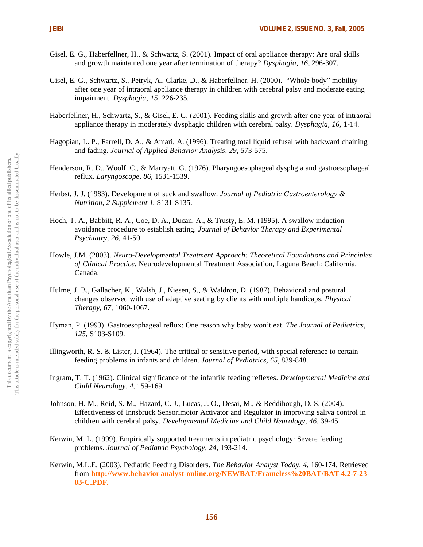- Gisel, E. G., Haberfellner, H., & Schwartz, S. (2001). Impact of oral appliance therapy: Are oral skills and growth maintained one year after termination of therapy? *Dysphagia, 16,* 296-307.
- Gisel, E. G., Schwartz, S., Petryk, A., Clarke, D., & Haberfellner, H. (2000). "Whole body" mobility after one year of intraoral appliance therapy in children with cerebral palsy and moderate eating impairment. *Dysphagia, 15,* 226-235.
- Haberfellner, H., Schwartz, S., & Gisel, E. G. (2001). Feeding skills and growth after one year of intraoral appliance therapy in moderately dysphagic children with cerebral palsy. *Dysphagia, 16,* 1-14.
- Hagopian, L. P., Farrell, D. A., & Amari, A. (1996). Treating total liquid refusal with backward chaining and fading. *Journal of Applied Behavior Analysis, 29*, 573-575.
- Henderson, R. D., Woolf, C., & Marryatt, G. (1976). Pharyngoesophageal dysphgia and gastroesophageal reflux. *Laryngoscope, 86,* 1531-1539.
- Herbst, J. J. (1983). Development of suck and swallow. *Journal of Pediatric Gastroenterology & Nutrition, 2 Supplement 1*, S131-S135.
- Hoch, T. A., Babbitt, R. A., Coe, D. A., Ducan, A., & Trusty, E. M. (1995). A swallow induction avoidance procedure to establish eating. *Journal of Behavior Therapy and Experimental Psychiatry, 26,* 41-50.
- Howle, J.M. (2003). *Neuro-Developmental Treatment Approach: Theoretical Foundations and Principles of Clinical Practice*. Neurodevelopmental Treatment Association, Laguna Beach: California. Canada.
- Hulme, J. B., Gallacher, K., Walsh, J., Niesen, S., & Waldron, D. (1987). Behavioral and postural changes observed with use of adaptive seating by clients with multiple handicaps. *Physical Therapy, 67,* 1060-1067.
- Hyman, P. (1993). Gastroesophageal reflux: One reason why baby won't eat. *The Journal of Pediatrics, 125*, S103-S109.
- Illingworth, R. S. & Lister, J. (1964). The critical or sensitive period, with special reference to certain feeding problems in infants and children. *Journal of Pediatrics, 65,* 839-848.
- Ingram, T. T. (1962). Clinical significance of the infantile feeding reflexes. *Developmental Medicine and Child Neurology, 4*, 159-169.
- Johnson, H. M., Reid, S. M., Hazard, C. J., Lucas, J. O., Desai, M., & Reddihough, D. S. (2004). Effectiveness of Innsbruck Sensorimotor Activator and Regulator in improving saliva control in children with cerebral palsy. *Developmental Medicine and Child Neurology, 46,* 39-45.
- Kerwin, M. L. (1999). Empirically supported treatments in pediatric psychology: Severe feeding problems. *Journal of Pediatric Psychology, 24,* 193-214.
- Kerwin, M.L.E. (2003). Pediatric Feeding Disorders. *The Behavior Analyst Today, 4,* 160-174. Retrieved from **http://www.behavior-analyst-online.org/NEWBAT/Frameless%20BAT/BAT-4.2-7-23- 03-C.PDF.**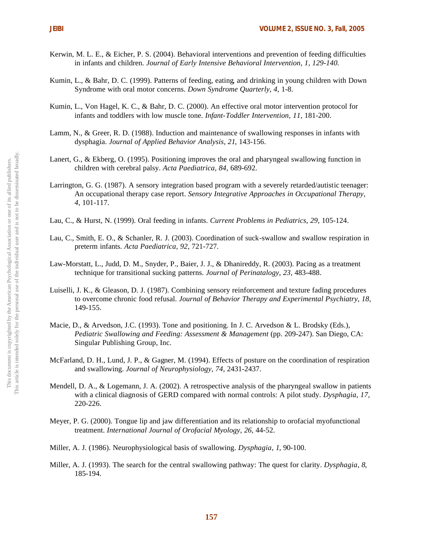- Kerwin, M. L. E., & Eicher, P. S. (2004). Behavioral interventions and prevention of feeding difficulties in infants and children. *Journal of Early Intensive Behavioral Intervention, 1, 129-140.*
- Kumin, L., & Bahr, D. C. (1999). Patterns of feeding, eating, and drinking in young children with Down Syndrome with oral motor concerns. *Down Syndrome Quarterly, 4,* 1-8.
- Kumin, L., Von Hagel, K. C., & Bahr, D. C. (2000). An effective oral motor intervention protocol for infants and toddlers with low muscle tone. *Infant-Toddler Intervention*, *11,* 181-200.
- Lamm, N., & Greer, R. D. (1988). Induction and maintenance of swallowing responses in infants with dysphagia. *Journal of Applied Behavior Analysis, 21*, 143-156.
- Lanert, G., & Ekberg, O. (1995). Positioning improves the oral and pharyngeal swallowing function in children with cerebral palsy. *Acta Paediatrica, 84,* 689-692.
- Larrington, G. G. (1987). A sensory integration based program with a severely retarded/autistic teenager: An occupational therapy case report. *Sensory Integrative Approaches in Occupational Therapy, 4*, 101-117.
- Lau, C., & Hurst, N. (1999). Oral feeding in infants. *Current Problems in Pediatrics, 29*, 105-124.
- Lau, C., Smith, E. O., & Schanler, R. J. (2003). Coordination of suck-swallow and swallow respiration in preterm infants. *Acta Paediatrica, 92*, 721-727.
- Law-Morstatt, L., Judd, D. M., Snyder, P., Baier, J. J., & Dhanireddy, R. (2003). Pacing as a treatment technique for transitional sucking patterns. *Journal of Perinatalogy, 23,* 483-488.
- Luiselli, J. K., & Gleason, D. J. (1987). Combining sensory reinforcement and texture fading procedures to overcome chronic food refusal. *Journal of Behavior Therapy and Experimental Psychiatry, 18*, 149-155.
- Macie, D., & Arvedson, J.C. (1993). Tone and positioning. In J. C. Arvedson & L. Brodsky (Eds.), *Pediatric Swallowing and Feeding: Assessment & Management* (pp. 209-247). San Diego, CA: Singular Publishing Group, Inc.
- McFarland, D. H., Lund, J. P., & Gagner, M. (1994). Effects of posture on the coordination of respiration and swallowing. *Journal of Neurophysiology, 74,* 2431-2437.
- Mendell, D. A., & Logemann, J. A. (2002). A retrospective analysis of the pharyngeal swallow in patients with a clinical diagnosis of GERD compared with normal controls: A pilot study. *Dysphagia, 17,*  220-226.
- Meyer, P. G. (2000). Tongue lip and jaw differentiation and its relationship to orofacial myofunctional treatment. *International Journal of Orofacial Myology, 26,* 44-52.
- Miller, A. J. (1986). Neurophysiological basis of swallowing. *Dysphagia, 1*, 90-100.
- Miller, A. J. (1993). The search for the central swallowing pathway: The quest for clarity. *Dysphagia, 8*, 185-194.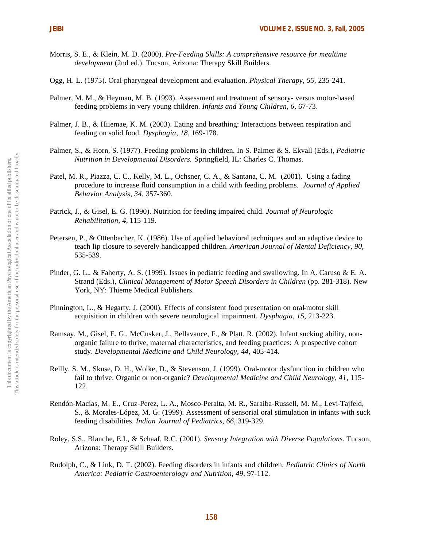- Morris, S. E., & Klein, M. D. (2000). *Pre-Feeding Skills: A comprehensive resource for mealtime development* (2nd ed.). Tucson, Arizona: Therapy Skill Builders.
- Ogg, H. L. (1975). Oral-pharyngeal development and evaluation. *Physical Therapy, 55,* 235-241.
- Palmer, M. M., & Heyman, M. B. (1993). Assessment and treatment of sensory- versus motor-based feeding problems in very young children. *Infants and Young Children, 6,* 67-73.
- Palmer, J. B., & Hiiemae, K. M. (2003). Eating and breathing: Interactions between respiration and feeding on solid food. *Dysphagia, 18,* 169-178.
- Palmer, S., & Horn, S. (1977). Feeding problems in children. In S. Palmer & S. Ekvall (Eds.), *Pediatric Nutrition in Developmental Disorders.* Springfield, IL: Charles C. Thomas.
- Patel, M. R., Piazza, C. C., Kelly, M. L., Ochsner, C. A., & Santana, C. M. (2001). Using a fading procedure to increase fluid consumption in a child with feeding problems. *Journal of Applied Behavior Analysis, 34,* 357-360.
- Patrick, J., & Gisel, E. G. (1990). Nutrition for feeding impaired child. *Journal of Neurologic Rehabilitation, 4,* 115-119.
- Petersen, P., & Ottenbacher, K. (1986). Use of applied behavioral techniques and an adaptive device to teach lip closure to severely handicapped children. *American Journal of Mental Deficiency, 90,*  535-539.
- Pinder, G. L., & Faherty, A. S. (1999). Issues in pediatric feeding and swallowing. In A. Caruso & E. A. Strand (Eds.), *Clinical Management of Motor Speech Disorders in Children* (pp. 281-318). New York, NY: Thieme Medical Publishers.
- Pinnington, L., & Hegarty, J. (2000). Effects of consistent food presentation on oral-motor skill acquisition in children with severe neurological impairment. *Dysphagia, 15,* 213-223.
- Ramsay, M., Gisel, E. G., McCusker, J., Bellavance, F., & Platt, R. (2002). Infant sucking ability, nonorganic failure to thrive, maternal characteristics, and feeding practices: A prospective cohort study. *Developmental Medicine and Child Neurology, 44*, 405-414.
- Reilly, S. M., Skuse, D. H., Wolke, D., & Stevenson, J. (1999). Oral-motor dysfunction in children who fail to thrive: Organic or non-organic? *Developmental Medicine and Child Neurology, 41*, 115- 122.
- Rendón-Macías, M. E., Cruz-Perez, L. A., Mosco-Peralta, M. R., Saraiba-Russell, M. M., Levi-Tajfeld, S., & Morales-López, M. G. (1999). Assessment of sensorial oral stimulation in infants with suck feeding disabilities. *Indian Journal of Pediatrics, 66,* 319-329.
- Roley, S.S., Blanche, E.I., & Schaaf, R.C. (2001). *Sensory Integration with Diverse Populations*. Tucson, Arizona: Therapy Skill Builders.
- Rudolph, C., & Link, D. T. (2002). Feeding disorders in infants and children. *Pediatric Clinics of North America: Pediatric Gastroenterology and Nutrition, 49*, 97-112.